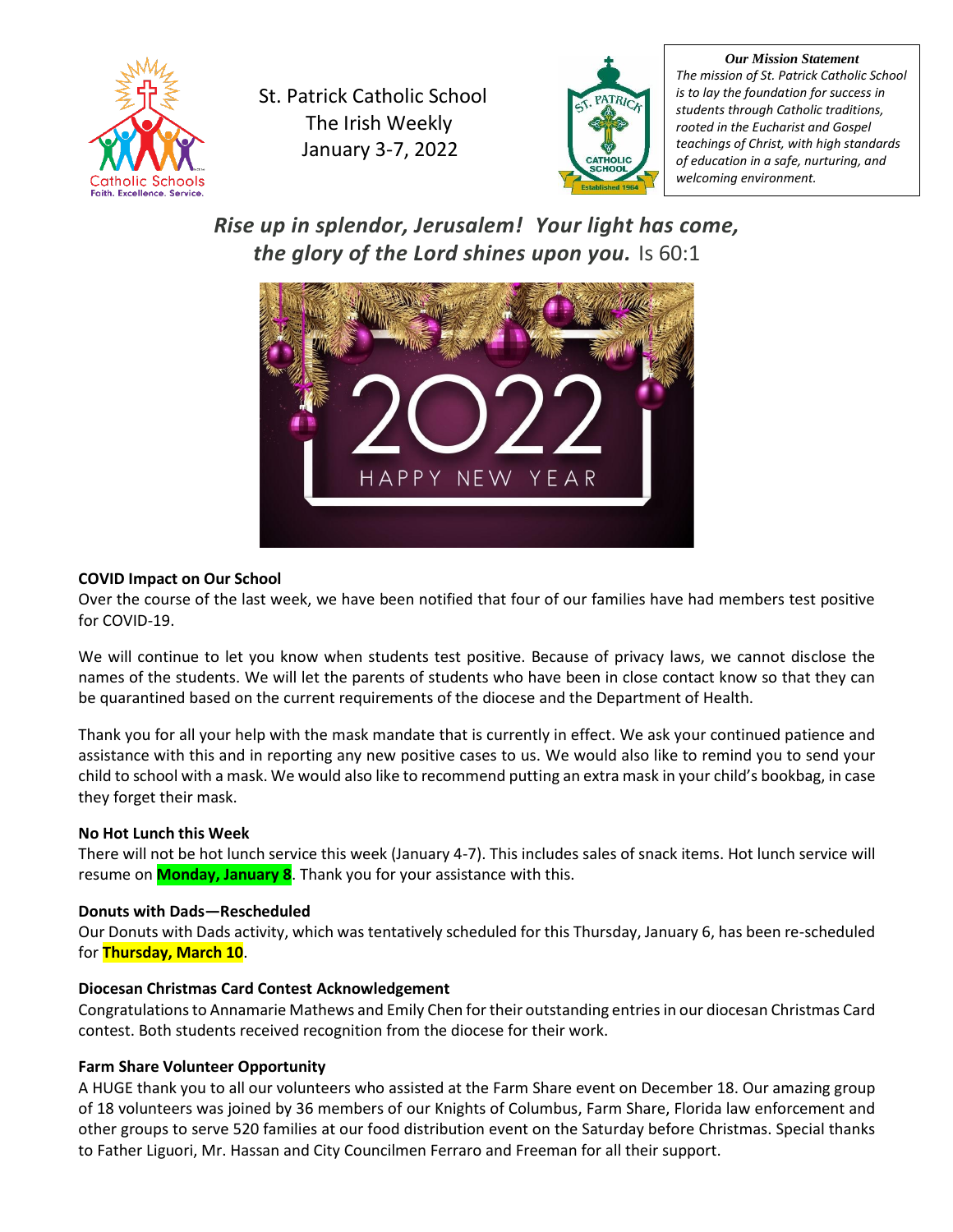

St. Patrick Catholic School The Irish Weekly January 3-7, 2022



*Our Mission Statement The mission of St. Patrick Catholic School is to lay the foundation for success in students through Catholic traditions, rooted in the Eucharist and Gospel teachings of Christ, with high standards of education in a safe, nurturing, and welcoming environment.*

*Rise up in splendor, Jerusalem! Your light has come, the glory of the Lord shines upon you.* Is 60:1



# **COVID Impact on Our School**

Over the course of the last week, we have been notified that four of our families have had members test positive for COVID-19.

We will continue to let you know when students test positive. Because of privacy laws, we cannot disclose the names of the students. We will let the parents of students who have been in close contact know so that they can be quarantined based on the current requirements of the diocese and the Department of Health.

Thank you for all your help with the mask mandate that is currently in effect. We ask your continued patience and assistance with this and in reporting any new positive cases to us. We would also like to remind you to send your child to school with a mask. We would also like to recommend putting an extra mask in your child's bookbag, in case they forget their mask.

# **No Hot Lunch this Week**

There will not be hot lunch service this week (January 4-7). This includes sales of snack items. Hot lunch service will resume on **Monday, January 8**. Thank you for your assistance with this.

## **Donuts with Dads—Rescheduled**

Our Donuts with Dads activity, which was tentatively scheduled for this Thursday, January 6, has been re-scheduled for **Thursday, March 10**.

## **Diocesan Christmas Card Contest Acknowledgement**

Congratulations to Annamarie Mathews and Emily Chen for their outstanding entries in our diocesan Christmas Card contest. Both students received recognition from the diocese for their work.

# **Farm Share Volunteer Opportunity**

A HUGE thank you to all our volunteers who assisted at the Farm Share event on December 18. Our amazing group of 18 volunteers was joined by 36 members of our Knights of Columbus, Farm Share, Florida law enforcement and other groups to serve 520 families at our food distribution event on the Saturday before Christmas. Special thanks to Father Liguori, Mr. Hassan and City Councilmen Ferraro and Freeman for all their support.